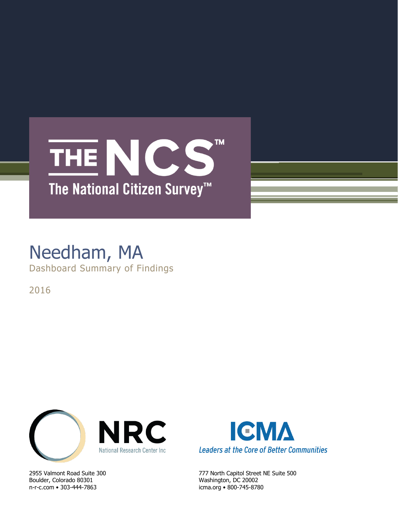## **TM** THE NCS The National Citizen Survey<sup>™</sup>

### Needham, MA Dashboard Summary of Findings

2016



Boulder, Colorado 80301 Washington, DC 20002 n-r-c.com • 303-444-7863 icma.org • 800-745-8780



2955 Valmont Road Suite 300 777 North Capitol Street NE Suite 500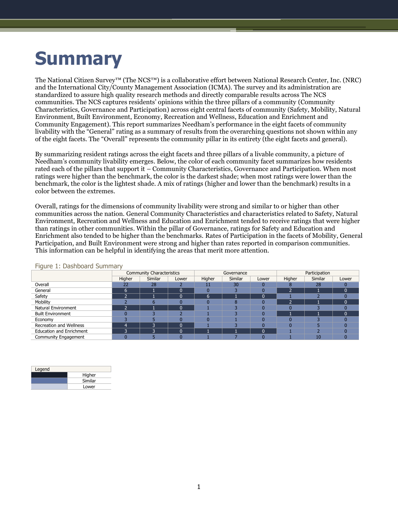# **Summary**

The National Citizen Survey™ (The NCS™) is a collaborative effort between National Research Center, Inc. (NRC) and the International City/County Management Association (ICMA). The survey and its administration are standardized to assure high quality research methods and directly comparable results across The NCS communities. The NCS captures residents' opinions within the three pillars of a community (Community Characteristics, Governance and Participation) across eight central facets of community (Safety, Mobility, Natural Environment, Built Environment, Economy, Recreation and Wellness, Education and Enrichment and Community Engagement). This report summarizes Needham's performance in the eight facets of community livability with the "General" rating as a summary of results from the overarching questions not shown within any of the eight facets. The "Overall" represents the community pillar in its entirety (the eight facets and general).

By summarizing resident ratings across the eight facets and three pillars of a livable community, a picture of Needham's community livability emerges. Below, the color of each community facet summarizes how residents rated each of the pillars that support it – Community Characteristics, Governance and Participation. When most ratings were higher than the benchmark, the color is the darkest shade; when most ratings were lower than the benchmark, the color is the lightest shade. A mix of ratings (higher and lower than the benchmark) results in a color between the extremes.

Overall, ratings for the dimensions of community livability were strong and similar to or higher than other communities across the nation. General Community Characteristics and characteristics related to Safety, Natural Environment, Recreation and Wellness and Education and Enrichment tended to receive ratings that were higher than ratings in other communities. Within the pillar of Governance, ratings for Safety and Education and Enrichment also tended to be higher than the benchmarks. Rates of Participation in the facets of Mobility, General Participation, and Built Environment were strong and higher than rates reported in comparison communities. This information can be helpful in identifying the areas that merit more attention.

|                                 |        | <b>Community Characteristics</b> |          |        | Governance |       | Participation |         |          |  |
|---------------------------------|--------|----------------------------------|----------|--------|------------|-------|---------------|---------|----------|--|
|                                 | Higher | Similar                          | Lower    | Higher | Similar    | Lower | Higher        | Similar | Lower    |  |
| Overall                         | 22     | 28                               |          | 11     | 30         |       |               | 28      |          |  |
| General                         | h      |                                  | $\Omega$ |        |            |       | e             |         | $\Omega$ |  |
| Safety                          |        |                                  | $\Omega$ | 6      |            |       |               |         |          |  |
| Mobility                        |        |                                  |          |        |            |       |               |         | $\Omega$ |  |
| <b>Natural Environment</b>      |        |                                  | $\Omega$ |        |            |       |               |         |          |  |
| <b>Built Environment</b>        |        |                                  |          |        |            |       |               |         | $\Omega$ |  |
| Economy                         |        |                                  |          |        |            |       |               |         |          |  |
| Recreation and Wellness         |        | э                                | $\Omega$ |        |            |       |               |         |          |  |
| <b>Education and Enrichment</b> | G.     | ∍                                | $\Omega$ |        |            |       |               |         |          |  |
| Community Engagement            |        |                                  |          |        |            |       |               | 10      |          |  |

#### Figure 1: Dashboard Summary

| Legend |         |
|--------|---------|
|        | Higher  |
|        | Similar |
|        | Lower   |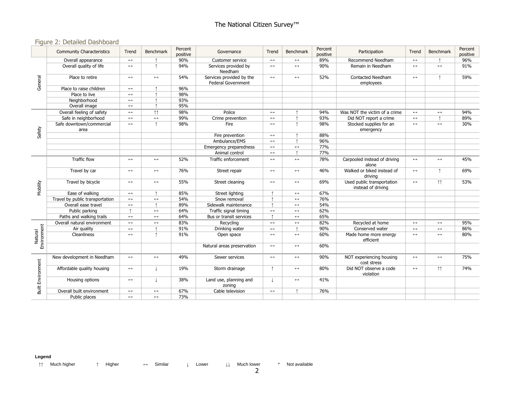#### Figure 2: Detailed Dashboard

|                          | <b>Community Characteristics</b> | Trend                 | <b>Benchmark</b>      | Percent<br>positive | Governance                                            | Trend                 | <b>Benchmark</b>      | Percent<br>positive | Participation                                    | Trend                 | Benchmark             | Percent<br>positive |
|--------------------------|----------------------------------|-----------------------|-----------------------|---------------------|-------------------------------------------------------|-----------------------|-----------------------|---------------------|--------------------------------------------------|-----------------------|-----------------------|---------------------|
| General                  | Overall appearance               | $\longleftrightarrow$ |                       | 90%                 | Customer service                                      | $\longleftrightarrow$ | $\leftrightarrow$     | 89%                 | Recommend Needham                                | $\longleftrightarrow$ |                       | 96%                 |
|                          | Overall quality of life          | $\leftrightarrow$     | $\uparrow$            | 94%                 | Services provided by<br>Needham                       | $\leftrightarrow$     | $\longleftrightarrow$ | 90%                 | Remain in Needham                                | $\leftrightarrow$     | $\longleftrightarrow$ | 91%                 |
|                          | Place to retire                  | $\longleftrightarrow$ | $\longleftrightarrow$ | 54%                 | Services provided by the<br><b>Federal Government</b> | $\longleftrightarrow$ | $\longleftrightarrow$ | 52%                 | <b>Contacted Needham</b><br>employees            | $\leftrightarrow$     | $\uparrow$            | 59%                 |
|                          | Place to raise children          | $\leftrightarrow$     |                       | 96%                 |                                                       |                       |                       |                     |                                                  |                       |                       |                     |
|                          | Place to live                    | $\longleftrightarrow$ |                       | 98%                 |                                                       |                       |                       |                     |                                                  |                       |                       |                     |
|                          | Neighborhood                     | $\leftrightarrow$     |                       | 93%                 |                                                       |                       |                       |                     |                                                  |                       |                       |                     |
|                          | Overall image                    | $\leftrightarrow$     | $\uparrow$            | 95%                 |                                                       |                       |                       |                     |                                                  |                       |                       |                     |
|                          | Overall feeling of safety        | $\longleftrightarrow$ | $\uparrow \uparrow$   | 98%                 | Police                                                | $\longleftrightarrow$ |                       | 94%                 | Was NOT the victim of a crime                    | $\longleftrightarrow$ | $\longleftrightarrow$ | 94%                 |
|                          | Safe in neighborhood             | $\longleftrightarrow$ | $\leftrightarrow$     | 99%                 | Crime prevention                                      | $\leftrightarrow$     |                       | 93%                 | Did NOT report a crime                           | $\leftrightarrow$     |                       | 89%                 |
|                          | Safe downtown/commercial<br>area | $\leftrightarrow$     | $\uparrow$            | 98%                 | Fire                                                  | $\leftrightarrow$     | $\uparrow$            | 98%                 | Stocked supplies for an<br>emergency             | $\leftrightarrow$     | $\leftrightarrow$     | 30%                 |
| Safety                   |                                  |                       |                       |                     | Fire prevention                                       | $\longleftrightarrow$ |                       | 88%                 |                                                  |                       |                       |                     |
|                          |                                  |                       |                       |                     | Ambulance/EMS                                         | $\longleftrightarrow$ | $\uparrow$            | 96%                 |                                                  |                       |                       |                     |
|                          |                                  |                       |                       |                     | Emergency preparedness                                | $\leftrightarrow$     | $\leftrightarrow$     | 77%                 |                                                  |                       |                       |                     |
|                          |                                  |                       |                       |                     | Animal control                                        | $\leftrightarrow$     | $\uparrow$            | 77%                 |                                                  |                       |                       |                     |
|                          | Traffic flow                     | $\leftrightarrow$     | $\leftrightarrow$     | 52%                 | Traffic enforcement                                   | $\longleftrightarrow$ | $\leftrightarrow$     | 78%                 | Carpooled instead of driving<br>alone            | $\leftrightarrow$     | $\leftrightarrow$     | 45%                 |
|                          | Travel by car                    | $\longleftrightarrow$ | $\longleftrightarrow$ | 76%                 | Street repair                                         | $\longleftrightarrow$ | $\longleftrightarrow$ | 46%                 | Walked or biked instead of<br>driving            | $\leftrightarrow$     | $\uparrow$            | 69%                 |
| Mobility                 | Travel by bicycle                | $\longleftrightarrow$ | $\leftrightarrow$     | 55%                 | Street cleaning                                       | $\longleftrightarrow$ | $\leftrightarrow$     | 69%                 | Used public transportation<br>instead of driving | $\leftrightarrow$     | $\uparrow \uparrow$   | 53%                 |
|                          | Ease of walking                  | $\longleftrightarrow$ | $\uparrow$            | 85%                 | Street lighting                                       |                       | $\leftrightarrow$     | 67%                 |                                                  |                       |                       |                     |
|                          | Travel by public transportation  | $\longleftrightarrow$ | $\leftrightarrow$     | 54%                 | Snow removal                                          |                       | $\longleftrightarrow$ | 76%                 |                                                  |                       |                       |                     |
|                          | Overall ease travel              | $\longleftrightarrow$ |                       | 89%                 | Sidewalk maintenance                                  |                       | $\longleftrightarrow$ | 54%                 |                                                  |                       |                       |                     |
|                          | Public parking                   |                       | $\leftrightarrow$     | 64%                 | Traffic signal timing                                 | $\leftrightarrow$     | $\leftrightarrow$     | 62%                 |                                                  |                       |                       |                     |
|                          | Paths and walking trails         | $\longleftrightarrow$ | $\longleftrightarrow$ | 64%                 | Bus or transit services                               | $\uparrow$            | $\longleftrightarrow$ | 65%                 |                                                  |                       |                       |                     |
|                          | Overall natural environment      | $\longleftrightarrow$ | $\leftrightarrow$     | 83%                 | Recycling                                             | $\longleftrightarrow$ | $\longleftrightarrow$ | 82%                 | Recycled at home                                 | $\leftrightarrow$     | $\longleftrightarrow$ | 95%                 |
|                          | Air quality                      | $\longleftrightarrow$ |                       | 91%                 | Drinking water                                        | $\leftrightarrow$     | $\uparrow$            | 90%                 | Conserved water                                  | $\leftrightarrow$     | $\longleftrightarrow$ | 86%                 |
| Environment<br>Natural   | Cleanliness                      | $\leftrightarrow$     | $\uparrow$            | 91%                 | Open space                                            | $\leftrightarrow$     | $\leftrightarrow$     | 60%                 | Made home more energy<br>efficient               | $\leftrightarrow$     | $\leftrightarrow$     | 80%                 |
|                          |                                  |                       |                       |                     | Natural areas preservation                            | $\longleftrightarrow$ | $\leftrightarrow$     | 60%                 |                                                  |                       |                       |                     |
| <b>Built Environment</b> | New development in Needham       | $\longleftrightarrow$ | $\leftrightarrow$     | 49%                 | Sewer services                                        | $\longleftrightarrow$ | $\longleftrightarrow$ | 90%                 | NOT experiencing housing<br>cost stress          | $\leftrightarrow$     | $\leftrightarrow$     | 75%                 |
|                          | Affordable quality housing       | $\longleftrightarrow$ | $\perp$               | 19%                 | Storm drainage                                        | $\uparrow$            | $\longleftrightarrow$ | 80%                 | Did NOT observe a code<br>violation              | $\leftrightarrow$     | $\uparrow \uparrow$   | 74%                 |
|                          | Housing options                  | $\longleftrightarrow$ |                       | 38%                 | Land use, planning and<br>zoning                      | $\downarrow$          | $\leftrightarrow$     | 41%                 |                                                  |                       |                       |                     |
|                          | Overall built environment        | $\longleftrightarrow$ | $\longleftrightarrow$ | 67%                 | Cable television                                      | $\longleftrightarrow$ |                       | 76%                 |                                                  |                       |                       |                     |
|                          | Public places                    | $\leftrightarrow$     | $\leftrightarrow$     | 73%                 |                                                       |                       |                       |                     |                                                  |                       |                       |                     |

**Legend**

↑↑ Much higher ↑ Higher ↔ Similar ↓ Lower ↓↓ Much lower \* Not available

2